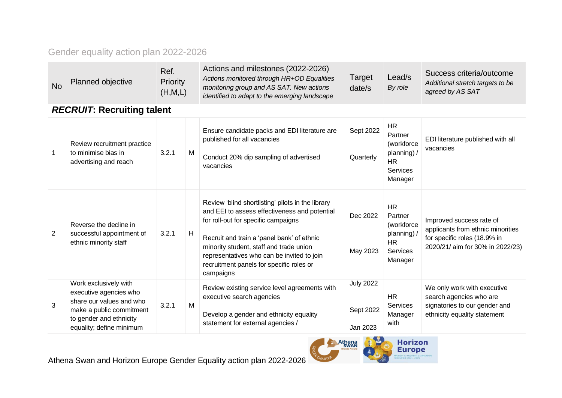#### Gender equality action plan 2022-2026

| <b>No</b>    | Planned objective                                                                                                                                              | Ref.<br>Priority<br>(H,M,L) |   | Actions and milestones (2022-2026)<br>Actions monitored through HR+OD Equalities<br>monitoring group and AS SAT. New actions<br>identified to adapt to the emerging landscape                                                                                                                                                             | Target<br>date/s                          | Lead/s<br>By role                                                                            | Success criteria/outcome<br>Additional stretch targets to be<br>agreed by AS SAT                                                  |  |  |  |  |  |
|--------------|----------------------------------------------------------------------------------------------------------------------------------------------------------------|-----------------------------|---|-------------------------------------------------------------------------------------------------------------------------------------------------------------------------------------------------------------------------------------------------------------------------------------------------------------------------------------------|-------------------------------------------|----------------------------------------------------------------------------------------------|-----------------------------------------------------------------------------------------------------------------------------------|--|--|--|--|--|
|              | <b>RECRUIT: Recruiting talent</b>                                                                                                                              |                             |   |                                                                                                                                                                                                                                                                                                                                           |                                           |                                                                                              |                                                                                                                                   |  |  |  |  |  |
| $\mathbf{1}$ | Review recruitment practice<br>to minimise bias in<br>advertising and reach                                                                                    | 3.2.1                       | M | Ensure candidate packs and EDI literature are<br>published for all vacancies<br>Conduct 20% dip sampling of advertised<br>vacancies                                                                                                                                                                                                       | Sept 2022<br>Quarterly                    | HR<br>Partner<br>(workforce<br>planning) /<br><b>HR</b><br><b>Services</b><br>Manager        | EDI literature published with all<br>vacancies                                                                                    |  |  |  |  |  |
| 2            | Reverse the decline in<br>successful appointment of<br>ethnic minority staff                                                                                   | 3.2.1                       | H | Review 'blind shortlisting' pilots in the library<br>and EEI to assess effectiveness and potential<br>for roll-out for specific campaigns<br>Recruit and train a 'panel bank' of ethnic<br>minority student, staff and trade union<br>representatives who can be invited to join<br>recruitment panels for specific roles or<br>campaigns | Dec 2022<br>May 2023                      | <b>HR</b><br>Partner<br>(workforce<br>planning) /<br><b>HR</b><br><b>Services</b><br>Manager | Improved success rate of<br>applicants from ethnic minorities<br>for specific roles (18.9% in<br>2020/21/ aim for 30% in 2022/23) |  |  |  |  |  |
| 3            | Work exclusively with<br>executive agencies who<br>share our values and who<br>make a public commitment<br>to gender and ethnicity<br>equality; define minimum | 3.2.1                       | M | Review existing service level agreements with<br>executive search agencies<br>Develop a gender and ethnicity equality<br>statement for external agencies /                                                                                                                                                                                | <b>July 2022</b><br>Sept 2022<br>Jan 2023 | <b>HR</b><br>Services<br>Manager<br>with                                                     | We only work with executive<br>search agencies who are<br>signatories to our gender and<br>ethnicity equality statement           |  |  |  |  |  |

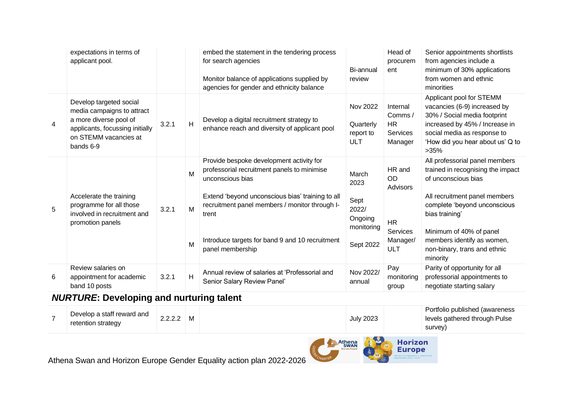|                | expectations in terms of<br>applicant pool.                                                                                                              |       |                         | embed the statement in the tendering process<br>for search agencies<br>Monitor balance of applications supplied by<br>agencies for gender and ethnicity balance                                                                                                                                   | Bi-annual<br>review                                                  | Head of<br>procurem<br>ent                                                                | Senior appointments shortlists<br>from agencies include a<br>minimum of 30% applications<br>from women and ethnic<br>minorities                                                                                                                                                    |
|----------------|----------------------------------------------------------------------------------------------------------------------------------------------------------|-------|-------------------------|---------------------------------------------------------------------------------------------------------------------------------------------------------------------------------------------------------------------------------------------------------------------------------------------------|----------------------------------------------------------------------|-------------------------------------------------------------------------------------------|------------------------------------------------------------------------------------------------------------------------------------------------------------------------------------------------------------------------------------------------------------------------------------|
| $\overline{4}$ | Develop targeted social<br>media campaigns to attract<br>a more diverse pool of<br>applicants, focussing initially<br>on STEMM vacancies at<br>bands 6-9 | 3.2.1 | H                       | Develop a digital recruitment strategy to<br>enhance reach and diversity of applicant pool                                                                                                                                                                                                        | <b>Nov 2022</b><br>Quarterly<br>report to<br><b>ULT</b>              | Internal<br>Comms/<br><b>HR</b><br><b>Services</b><br>Manager                             | Applicant pool for STEMM<br>vacancies (6-9) increased by<br>30% / Social media footprint<br>increased by 45% / Increase in<br>social media as response to<br>'How did you hear about us' Q to<br>>35%                                                                              |
| 5              | Accelerate the training<br>programme for all those<br>involved in recruitment and<br>promotion panels                                                    | 3.2.1 | M<br>M<br>M             | Provide bespoke development activity for<br>professorial recruitment panels to minimise<br>unconscious bias<br>Extend 'beyond unconscious bias' training to all<br>recruitment panel members / monitor through I-<br>trent<br>Introduce targets for band 9 and 10 recruitment<br>panel membership | March<br>2023<br>Sept<br>2022/<br>Ongoing<br>monitoring<br>Sept 2022 | HR and<br><b>OD</b><br>Advisors<br><b>HR</b><br><b>Services</b><br>Manager/<br><b>ULT</b> | All professorial panel members<br>trained in recognising the impact<br>of unconscious bias<br>All recruitment panel members<br>complete 'beyond unconscious<br>bias training'<br>Minimum of 40% of panel<br>members identify as women,<br>non-binary, trans and ethnic<br>minority |
| 6              | Review salaries on<br>appointment for academic<br>band 10 posts                                                                                          | 3.2.1 | $\overline{\mathsf{H}}$ | Annual review of salaries at 'Professorial and<br>Senior Salary Review Panel'                                                                                                                                                                                                                     | Nov 2022/<br>annual                                                  | Pay<br>monitoring<br>group                                                                | Parity of opportunity for all<br>professorial appointments to<br>negotiate starting salary                                                                                                                                                                                         |

## *NURTURE***: Developing and nurturing talent**

| Develop a staff reward and<br>retention strategy | າາາາ<br>2.2.2.Z |  | <b>July 2023</b> | Portfolio published (awareness<br>levels gathered through Pulse |
|--------------------------------------------------|-----------------|--|------------------|-----------------------------------------------------------------|
|                                                  |                 |  |                  | survey)                                                         |



Athena Swan and Horizon Europe Gender Equality action plan 2022-2026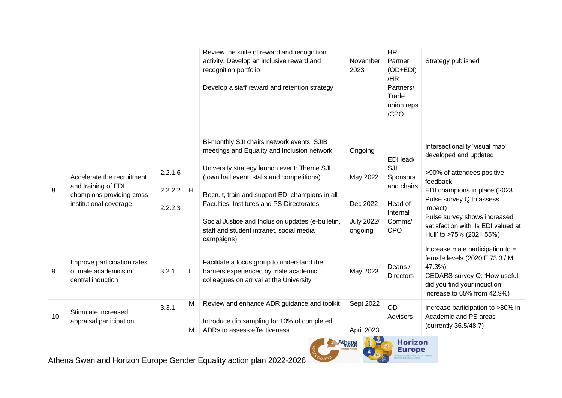|    |                                                                                                          |                                   |        | Review the suite of reward and recognition<br>activity. Develop an inclusive reward and<br>recognition portfolio<br>Develop a staff reward and retention strategy                                                                                                                                                                                                                                     | November<br>2023                                                | <b>HR</b><br>Partner<br>(OD+EDI)<br>/HR<br>Partners/<br>Trade<br>union reps<br>/CPO | Strategy published                                                                                                                                                                                                                                                          |
|----|----------------------------------------------------------------------------------------------------------|-----------------------------------|--------|-------------------------------------------------------------------------------------------------------------------------------------------------------------------------------------------------------------------------------------------------------------------------------------------------------------------------------------------------------------------------------------------------------|-----------------------------------------------------------------|-------------------------------------------------------------------------------------|-----------------------------------------------------------------------------------------------------------------------------------------------------------------------------------------------------------------------------------------------------------------------------|
| 8  | Accelerate the recruitment<br>and training of EDI<br>champions providing cross<br>institutional coverage | 2.2.1.6<br>$2.2.2.2$ H<br>2.2.2.3 |        | Bi-monthly SJI chairs network events, SJIB<br>meetings and Equality and Inclusion network<br>University strategy launch event: Theme SJI<br>(town hall event, stalls and competitions)<br>Recruit, train and support EDI champions in all<br>Faculties, Institutes and PS Directorates<br>Social Justice and Inclusion updates (e-bulletin,<br>staff and student intranet, social media<br>campaigns) | Ongoing<br>May 2022<br>Dec 2022<br><b>July 2022/</b><br>ongoing | EDI lead/<br>SJI<br>Sponsors<br>and chairs<br>Head of<br>Internal<br>Comms/<br>CPO  | Intersectionality 'visual map'<br>developed and updated<br>>90% of attendees positive<br>feedback<br>EDI champions in place (2023<br>Pulse survey Q to assess<br>impact)<br>Pulse survey shows increased<br>satisfaction with 'Is EDI valued at<br>Hull' to >75% (2021 55%) |
| 9  | Improve participation rates<br>of male academics in<br>central induction                                 | 3.2.1                             | L.     | Facilitate a focus group to understand the<br>barriers experienced by male academic<br>colleagues on arrival at the University                                                                                                                                                                                                                                                                        | May 2023                                                        | Deans /<br><b>Directors</b>                                                         | Increase male participation to $=$<br>female levels (2020 F 73.3 / M<br>47.3%)<br>CEDARS survey Q: 'How useful<br>did you find your induction'<br>increase to 65% from 42.9%)                                                                                               |
| 10 | Stimulate increased<br>appraisal participation                                                           | 3.3.1                             | M<br>м | Review and enhance ADR guidance and toolkit<br>Introduce dip sampling for 10% of completed<br>ADRs to assess effectiveness                                                                                                                                                                                                                                                                            | Sept 2022<br>April 2023                                         | <b>OD</b><br>Advisors                                                               | Increase participation to >80% in<br>Academic and PS areas<br>(currently 36.5/48.7)                                                                                                                                                                                         |

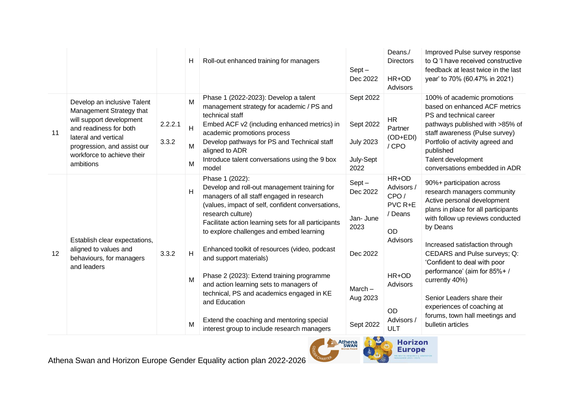|    |                                                                                                                                                                                                                 |                  | н                | Roll-out enhanced training for managers                                                                                                                                                                                                                                                                          | $Sept -$<br>Dec 2022                                            | Deans./<br><b>Directors</b><br>HR+OD<br>Advisors               | Improved Pulse survey response<br>to Q 'I have received constructive<br>feedback at least twice in the last<br>year' to 70% (60.47% in 2021)                                                                                                                         |
|----|-----------------------------------------------------------------------------------------------------------------------------------------------------------------------------------------------------------------|------------------|------------------|------------------------------------------------------------------------------------------------------------------------------------------------------------------------------------------------------------------------------------------------------------------------------------------------------------------|-----------------------------------------------------------------|----------------------------------------------------------------|----------------------------------------------------------------------------------------------------------------------------------------------------------------------------------------------------------------------------------------------------------------------|
| 11 | Develop an inclusive Talent<br>Management Strategy that<br>will support development<br>and readiness for both<br>lateral and vertical<br>progression, and assist our<br>workforce to achieve their<br>ambitions | 2.2.2.1<br>3.3.2 | M<br>H<br>M<br>M | Phase 1 (2022-2023): Develop a talent<br>management strategy for academic / PS and<br>technical staff<br>Embed ACF v2 (including enhanced metrics) in<br>academic promotions process<br>Develop pathways for PS and Technical staff<br>aligned to ADR<br>Introduce talent conversations using the 9 box<br>model | Sept 2022<br>Sept 2022<br><b>July 2023</b><br>July-Sept<br>2022 | <b>HR</b><br>Partner<br>(OD+EDI)<br>/CPO                       | 100% of academic promotions<br>based on enhanced ACF metrics<br>PS and technical career<br>pathways published with >85% of<br>staff awareness (Pulse survey)<br>Portfolio of activity agreed and<br>published<br>Talent development<br>conversations embedded in ADR |
|    |                                                                                                                                                                                                                 |                  | H                | Phase 1 (2022):<br>Develop and roll-out management training for<br>managers of all staff engaged in research<br>(values, impact of self, confident conversations,<br>research culture)<br>Facilitate action learning sets for all participants<br>to explore challenges and embed learning                       | $Sept -$<br>Dec 2022<br>Jan- June<br>2023                       | HR+OD<br>Advisors /<br>CPO/<br>PVC R+E<br>/ Deans<br><b>OD</b> | 90%+ participation across<br>research managers community<br>Active personal development<br>plans in place for all participants<br>with follow up reviews conducted<br>by Deans                                                                                       |
| 12 | Establish clear expectations,<br>aligned to values and<br>behaviours, for managers<br>and leaders                                                                                                               | 3.3.2            | H<br>M           | Enhanced toolkit of resources (video, podcast<br>and support materials)<br>Phase 2 (2023): Extend training programme                                                                                                                                                                                             | Dec 2022                                                        | Advisors<br>HR+OD                                              | Increased satisfaction through<br>CEDARS and Pulse surveys; Q:<br>'Confident to deal with poor<br>performance' (aim for 85%+/<br>currently 40%)                                                                                                                      |
|    |                                                                                                                                                                                                                 |                  | M                | and action learning sets to managers of<br>technical, PS and academics engaged in KE<br>and Education<br>Extend the coaching and mentoring special<br>interest group to include research managers                                                                                                                | March $-$<br>Aug 2023<br>Sept 2022                              | Advisors<br><b>OD</b><br>Advisors /<br>ULT                     | Senior Leaders share their<br>experiences of coaching at<br>forums, town hall meetings and<br>bulletin articles                                                                                                                                                      |

Athena Swan and Horizon Europe Gender Equality action plan 2022-2026



**Horizon**<br>Europe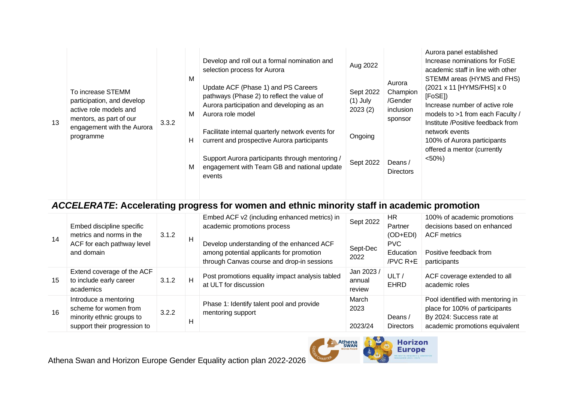| 13 | To increase STEMM<br>participation, and develop<br>active role models and<br>mentors, as part of our<br>engagement with the Aurora<br>programme | 3.3.2 | М<br>М<br>H<br>м | Develop and roll out a formal nomination and<br>selection process for Aurora<br>Update ACF (Phase 1) and PS Careers<br>pathways (Phase 2) to reflect the value of<br>Aurora participation and developing as an<br>Aurora role model<br>Facilitate internal quarterly network events for<br>current and prospective Aurora participants<br>Support Aurora participants through mentoring /<br>engagement with Team GB and national update<br>events | Aug 2022<br>Sept 2022<br>$(1)$ July<br>2023(2)<br>Ongoing<br>Sept 2022 | Aurora<br>Champion<br>/Gender<br>inclusion<br>sponsor<br>Deans /<br><b>Directors</b> | Aurora panel established<br>Increase nominations for FoSE<br>academic staff in line with other<br>STEMM areas (HYMS and FHS)<br>(2021 x 11 [HYMS/FHS] x 0<br>[FoSE])<br>Increase number of active role<br>models to >1 from each Faculty /<br>Institute /Positive feedback from<br>network events<br>100% of Aurora participants<br>offered a mentor (currently<br>$< 50\%)$ |
|----|-------------------------------------------------------------------------------------------------------------------------------------------------|-------|------------------|----------------------------------------------------------------------------------------------------------------------------------------------------------------------------------------------------------------------------------------------------------------------------------------------------------------------------------------------------------------------------------------------------------------------------------------------------|------------------------------------------------------------------------|--------------------------------------------------------------------------------------|------------------------------------------------------------------------------------------------------------------------------------------------------------------------------------------------------------------------------------------------------------------------------------------------------------------------------------------------------------------------------|
|----|-------------------------------------------------------------------------------------------------------------------------------------------------|-------|------------------|----------------------------------------------------------------------------------------------------------------------------------------------------------------------------------------------------------------------------------------------------------------------------------------------------------------------------------------------------------------------------------------------------------------------------------------------------|------------------------------------------------------------------------|--------------------------------------------------------------------------------------|------------------------------------------------------------------------------------------------------------------------------------------------------------------------------------------------------------------------------------------------------------------------------------------------------------------------------------------------------------------------------|

# *ACCELERATE***: Accelerating progress for women and ethnic minority staff in academic promotion**

| 14 | Embed discipline specific<br>metrics and norms in the<br>ACF for each pathway level<br>and domain           | 3.1.2 | н | Embed ACF v2 (including enhanced metrics) in<br>academic promotions process<br>Develop understanding of the enhanced ACF<br>among potential applicants for promotion<br>through Canvas course and drop-in sessions | Sept 2022<br>Sept-Dec<br>2022  | HR.<br>Partner<br>$(OD+EDI)$<br><b>PVC</b><br>Education<br>/PVC R+E | 100% of academic promotions<br>decisions based on enhanced<br><b>ACF</b> metrics<br>Positive feedback from<br>participants        |
|----|-------------------------------------------------------------------------------------------------------------|-------|---|--------------------------------------------------------------------------------------------------------------------------------------------------------------------------------------------------------------------|--------------------------------|---------------------------------------------------------------------|-----------------------------------------------------------------------------------------------------------------------------------|
| 15 | Extend coverage of the ACF<br>to include early career<br>academics                                          | 3.1.2 | H | Post promotions equality impact analysis tabled<br>at ULT for discussion                                                                                                                                           | Jan 2023 /<br>annual<br>review | ULT/<br><b>EHRD</b>                                                 | ACF coverage extended to all<br>academic roles                                                                                    |
| 16 | Introduce a mentoring<br>scheme for women from<br>minority ethnic groups to<br>support their progression to | 3.2.2 | H | Phase 1: Identify talent pool and provide<br>mentoring support                                                                                                                                                     | March<br>2023<br>2023/24       | Deans /<br><b>Directors</b>                                         | Pool identified with mentoring in<br>place for 100% of participants<br>By 2024: Success rate at<br>academic promotions equivalent |

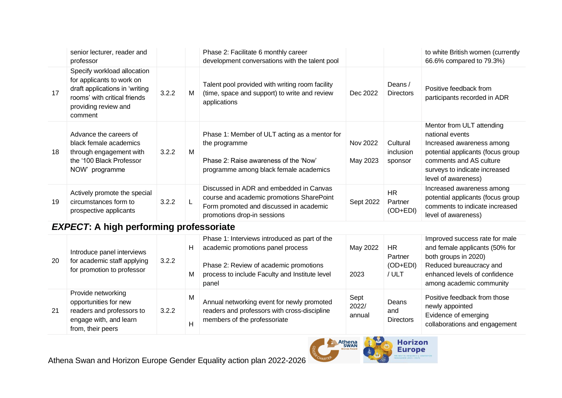|    | senior lecturer, reader and<br>professor                                                                                                                      |       |   | Phase 2: Facilitate 6 monthly career<br>development conversations with the talent pool                                                                         |                      |                                    | to white British women (currently<br>66.6% compared to 79.3%)                                                                                                                                     |
|----|---------------------------------------------------------------------------------------------------------------------------------------------------------------|-------|---|----------------------------------------------------------------------------------------------------------------------------------------------------------------|----------------------|------------------------------------|---------------------------------------------------------------------------------------------------------------------------------------------------------------------------------------------------|
| 17 | Specify workload allocation<br>for applicants to work on<br>draft applications in 'writing<br>rooms' with critical friends<br>providing review and<br>comment | 3.2.2 | M | Talent pool provided with writing room facility<br>(time, space and support) to write and review<br>applications                                               | Dec 2022             | Deans /<br>Directors               | Positive feedback from<br>participants recorded in ADR                                                                                                                                            |
| 18 | Advance the careers of<br>black female academics<br>through engagement with<br>the '100 Black Professor<br>NOW" programme                                     | 3.2.2 | M | Phase 1: Member of ULT acting as a mentor for<br>the programme<br>Phase 2: Raise awareness of the 'Now'<br>programme among black female academics              | Nov 2022<br>May 2023 | Cultural<br>inclusion<br>sponsor   | Mentor from ULT attending<br>national events<br>Increased awareness among<br>potential applicants (focus group<br>comments and AS culture<br>surveys to indicate increased<br>level of awareness) |
| 19 | Actively promote the special<br>circumstances form to<br>prospective applicants                                                                               | 3.2.2 |   | Discussed in ADR and embedded in Canvas<br>course and academic promotions SharePoint<br>Form promoted and discussed in academic<br>promotions drop-in sessions | Sept 2022            | <b>HR</b><br>Partner<br>$(OD+EDI)$ | Increased awareness among<br>potential applicants (focus group<br>comments to indicate increased<br>level of awareness)                                                                           |

## *EXPECT***: A high performing professoriate**

| -20 | Introduce panel interviews<br>for academic staff applying<br>for promotion to professor                                 | 3.2.2 | Н<br>M | Phase 1: Interviews introduced as part of the<br>academic promotions panel process<br>Phase 2: Review of academic promotions<br>process to include Faculty and Institute level<br>panel | May 2022<br>2023        | HR.<br>Partner<br>$(OD+EDI)$<br>/ ULT | Improved success rate for male<br>and female applicants (50% for<br>both groups in 2020)<br>Reduced bureaucracy and<br>enhanced levels of confidence<br>among academic community |
|-----|-------------------------------------------------------------------------------------------------------------------------|-------|--------|-----------------------------------------------------------------------------------------------------------------------------------------------------------------------------------------|-------------------------|---------------------------------------|----------------------------------------------------------------------------------------------------------------------------------------------------------------------------------|
| 21  | Provide networking<br>opportunities for new<br>readers and professors to<br>engage with, and learn<br>from, their peers | 3.2.2 | м<br>H | Annual networking event for newly promoted<br>readers and professors with cross-discipline<br>members of the professoriate                                                              | Sept<br>2022/<br>annual | Deans<br>and<br><b>Directors</b>      | Positive feedback from those<br>newly appointed<br>Evidence of emerging<br>collaborations and engagement                                                                         |

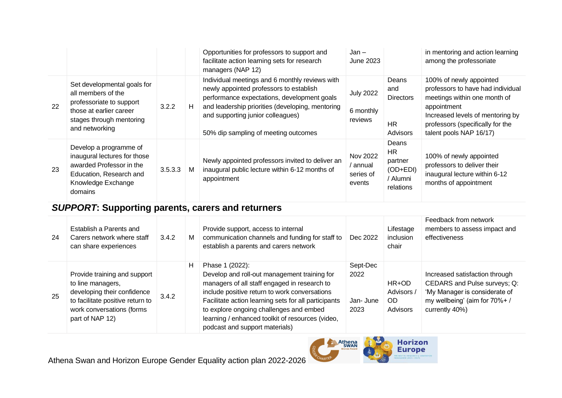|    |                                                                                                                                                        |         |   | Opportunities for professors to support and<br>facilitate action learning sets for research<br>managers (NAP 12)                                                                                                                                                          | $Jan -$<br>June 2023                               |                                                              | in mentoring and action learning<br>among the professoriate                                                                                                                                                    |
|----|--------------------------------------------------------------------------------------------------------------------------------------------------------|---------|---|---------------------------------------------------------------------------------------------------------------------------------------------------------------------------------------------------------------------------------------------------------------------------|----------------------------------------------------|--------------------------------------------------------------|----------------------------------------------------------------------------------------------------------------------------------------------------------------------------------------------------------------|
| 22 | Set developmental goals for<br>all members of the<br>professoriate to support<br>those at earlier career<br>stages through mentoring<br>and networking | 3.2.2   | н | Individual meetings and 6 monthly reviews with<br>newly appointed professors to establish<br>performance expectations, development goals<br>and leadership priorities (developing, mentoring<br>and supporting junior colleagues)<br>50% dip sampling of meeting outcomes | <b>July 2022</b><br>6 monthly<br>reviews           | Deans<br>and<br><b>Directors</b><br><b>HR</b><br>Advisors    | 100% of newly appointed<br>professors to have had individual<br>meetings within one month of<br>appointment<br>Increased levels of mentoring by<br>professors (specifically for the<br>talent pools NAP 16/17) |
| 23 | Develop a programme of<br>inaugural lectures for those<br>awarded Professor in the<br>Education, Research and<br>Knowledge Exchange<br>domains         | 3.5.3.3 | M | Newly appointed professors invited to deliver an<br>inaugural public lecture within 6-12 months of<br>appointment                                                                                                                                                         | <b>Nov 2022</b><br>' annual<br>series of<br>events | Deans<br>HR.<br>partner<br>(OD+EDI)<br>/ Alumni<br>relations | 100% of newly appointed<br>professors to deliver their<br>inaugural lecture within 6-12<br>months of appointment                                                                                               |

## *SUPPORT***: Supporting parents, carers and returners**

| 24 | Establish a Parents and<br>Carers network where staff<br>can share experiences                                                                                       | 3.4.2 | M | Provide support, access to internal<br>communication channels and funding for staff to<br>establish a parents and carers network                                                                                                                                                                                                                          | Dec 2022                             | Lifestage<br>inclusion<br>chair        | Feedback from network<br>members to assess impact and<br>effectiveness                                                                            |
|----|----------------------------------------------------------------------------------------------------------------------------------------------------------------------|-------|---|-----------------------------------------------------------------------------------------------------------------------------------------------------------------------------------------------------------------------------------------------------------------------------------------------------------------------------------------------------------|--------------------------------------|----------------------------------------|---------------------------------------------------------------------------------------------------------------------------------------------------|
| 25 | Provide training and support<br>to line managers,<br>developing their confidence<br>to facilitate positive return to<br>work conversations (forms<br>part of NAP 12) | 3.4.2 | н | Phase 1 (2022):<br>Develop and roll-out management training for<br>managers of all staff engaged in research to<br>include positive return to work conversations<br>Facilitate action learning sets for all participants<br>to explore ongoing challenges and embed<br>learning / enhanced toolkit of resources (video,<br>podcast and support materials) | Sept-Dec<br>2022<br>Jan-June<br>2023 | HR+OD<br>Advisors /<br>OD.<br>Advisors | Increased satisfaction through<br>CEDARS and Pulse surveys; Q:<br>'My Manager is considerate of<br>my wellbeing' (aim for 70%+/<br>currently 40%) |

Athena Swan and Horizon Europe Gender Equality action plan 2022-2026

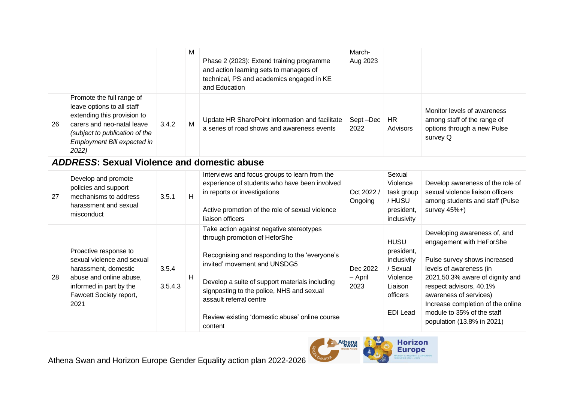|    |                                                                                                                                                                                                |       | M | Phase 2 (2023): Extend training programme<br>and action learning sets to managers of<br>technical, PS and academics engaged in KE<br>and Education | March-<br>Aug 2023 |                 |                                                                                                       |
|----|------------------------------------------------------------------------------------------------------------------------------------------------------------------------------------------------|-------|---|----------------------------------------------------------------------------------------------------------------------------------------------------|--------------------|-----------------|-------------------------------------------------------------------------------------------------------|
| 26 | Promote the full range of<br>leave options to all staff<br>extending this provision to<br>carers and neo-natal leave<br>(subject to publication of the<br>Employment Bill expected in<br>2022) | 3.4.2 | M | Update HR SharePoint information and facilitate<br>a series of road shows and awareness events                                                     | Sept-Dec<br>2022   | HR.<br>Advisors | Monitor levels of awareness<br>among staff of the range of<br>options through a new Pulse<br>survey Q |

#### *ADDRESS***: Sexual Violence and domestic abuse**

| 27 | Develop and promote<br>policies and support<br>mechanisms to address<br>harassment and sexual<br>misconduct                                                          | 3.5.1            | H | Interviews and focus groups to learn from the<br>experience of students who have been involved<br>in reports or investigations<br>Active promotion of the role of sexual violence<br>liaison officers                                                                                                                                             | Oct 2022<br>Ongoing         | Sexual<br>Violence<br>task group<br>/ HUSU<br>president,<br>inclusivity                             | Develop awareness of the role of<br>sexual violence liaison officers<br>among students and staff (Pulse<br>survey $45\%+$ )                                                                                                                                                                                  |
|----|----------------------------------------------------------------------------------------------------------------------------------------------------------------------|------------------|---|---------------------------------------------------------------------------------------------------------------------------------------------------------------------------------------------------------------------------------------------------------------------------------------------------------------------------------------------------|-----------------------------|-----------------------------------------------------------------------------------------------------|--------------------------------------------------------------------------------------------------------------------------------------------------------------------------------------------------------------------------------------------------------------------------------------------------------------|
| 28 | Proactive response to<br>sexual violence and sexual<br>harassment, domestic<br>abuse and online abuse,<br>informed in part by the<br>Fawcett Society report,<br>2021 | 3.5.4<br>3.5.4.3 | H | Take action against negative stereotypes<br>through promotion of HeforShe<br>Recognising and responding to the 'everyone's<br>invited' movement and UNSDG5<br>Develop a suite of support materials including<br>signposting to the police, NHS and sexual<br>assault referral centre<br>Review existing 'domestic abuse' online course<br>content | Dec 2022<br>– April<br>2023 | <b>HUSU</b><br>president,<br>inclusivity<br>/ Sexual<br>Violence<br>Liaison<br>officers<br>EDI Lead | Developing awareness of, and<br>engagement with HeForShe<br>Pulse survey shows increased<br>levels of awareness (in<br>2021,50.3% aware of dignity and<br>respect advisors, 40.1%<br>awareness of services)<br>Increase completion of the online<br>module to 35% of the staff<br>population (13.8% in 2021) |

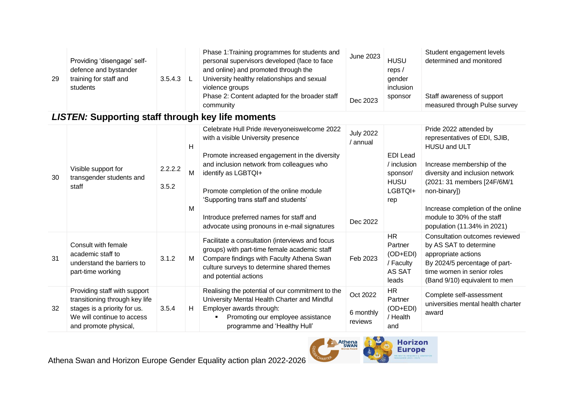| 29 | Providing 'disengage' self-<br>defence and bystander<br>training for staff and<br>students | 3.5.4.3 | Phase 1: Training programmes for students and<br>personal supervisors developed (face to face<br>and online) and promoted through the<br>University healthy relationships and sexual<br>violence groups<br>Phase 2: Content adapted for the broader staff | June 2023<br>Dec 2023 | <b>HUSU</b><br>reps $/$<br>gender<br>inclusion<br>sponsor | Student engagement levels<br>determined and monitored<br>Staff awareness of support |
|----|--------------------------------------------------------------------------------------------|---------|-----------------------------------------------------------------------------------------------------------------------------------------------------------------------------------------------------------------------------------------------------------|-----------------------|-----------------------------------------------------------|-------------------------------------------------------------------------------------|
|    |                                                                                            |         | community                                                                                                                                                                                                                                                 |                       |                                                           | measured through Pulse survey                                                       |

#### *LISTEN:* **Supporting staff through key life moments**

| 30 | Visible support for<br>transgender students and<br>staff                                                                                              | 2.2.2.2<br>3.5.2 | H<br>M<br>M | Celebrate Hull Pride #everyoneiswelcome 2022<br>with a visible University presence<br>Promote increased engagement in the diversity<br>and inclusion network from colleagues who<br>identify as LGBTQI+<br>Promote completion of the online module<br>'Supporting trans staff and students'<br>Introduce preferred names for staff and<br>advocate using pronouns in e-mail signatures | <b>July 2022</b><br>annual<br>Dec 2022 | <b>EDI</b> Lead<br>/ inclusion<br>sponsor/<br><b>HUSU</b><br>LGBTQI+<br>rep | Pride 2022 attended by<br>representatives of EDI, SJIB,<br>HUSU and ULT<br>Increase membership of the<br>diversity and inclusion network<br>(2021: 31 members [24F/6M/1<br>non-binary])<br>Increase completion of the online<br>module to 30% of the staff<br>population (11.34% in 2021) |
|----|-------------------------------------------------------------------------------------------------------------------------------------------------------|------------------|-------------|----------------------------------------------------------------------------------------------------------------------------------------------------------------------------------------------------------------------------------------------------------------------------------------------------------------------------------------------------------------------------------------|----------------------------------------|-----------------------------------------------------------------------------|-------------------------------------------------------------------------------------------------------------------------------------------------------------------------------------------------------------------------------------------------------------------------------------------|
| 31 | Consult with female<br>academic staff to<br>understand the barriers to<br>part-time working                                                           | 3.1.2            | M           | Facilitate a consultation (interviews and focus<br>groups) with part-time female academic staff<br>Compare findings with Faculty Athena Swan<br>culture surveys to determine shared themes<br>and potential actions                                                                                                                                                                    | Feb 2023                               | <b>HR</b><br>Partner<br>$(OD+EDI)$<br>/ Faculty<br>AS SAT<br>leads          | Consultation outcomes reviewed<br>by AS SAT to determine<br>appropriate actions<br>By 2024/5 percentage of part-<br>time women in senior roles<br>(Band 9/10) equivalent to men                                                                                                           |
| 32 | Providing staff with support<br>transitioning through key life<br>stages is a priority for us.<br>We will continue to access<br>and promote physical, | 3.5.4            | H           | Realising the potential of our commitment to the<br>University Mental Health Charter and Mindful<br>Employer awards through:<br>Promoting our employee assistance<br>programme and 'Healthy Hull'                                                                                                                                                                                      | Oct 2022<br>6 monthly<br>reviews       | <b>HR</b><br>Partner<br>(OD+EDI)<br>/ Health<br>and                         | Complete self-assessment<br>universities mental health charter<br>award                                                                                                                                                                                                                   |

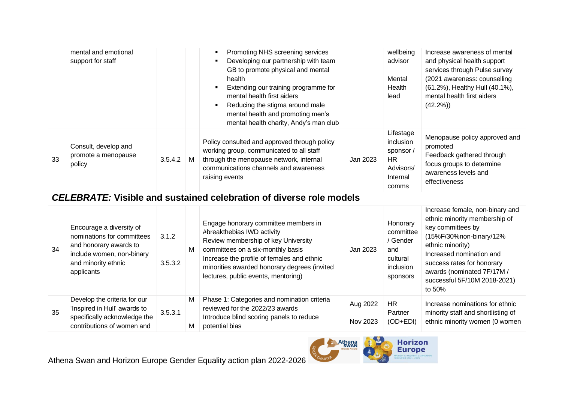|    | mental and emotional<br>support for staff             |         |   | Promoting NHS screening services<br>Developing our partnership with team<br>GB to promote physical and mental<br>health<br>Extending our training programme for<br>mental health first aiders<br>Reducing the stigma around male<br>mental health and promoting men's<br>mental health charity, Andy's man club |          | wellbeing<br>advisor<br>Mental<br>Health<br>lead                            | Increase awareness of mental<br>and physical health support<br>services through Pulse survey<br>(2021 awareness: counselling<br>(61.2%), Healthy Hull (40.1%),<br>mental health first aiders<br>$(42.2\%)$ |
|----|-------------------------------------------------------|---------|---|-----------------------------------------------------------------------------------------------------------------------------------------------------------------------------------------------------------------------------------------------------------------------------------------------------------------|----------|-----------------------------------------------------------------------------|------------------------------------------------------------------------------------------------------------------------------------------------------------------------------------------------------------|
| 33 | Consult, develop and<br>promote a menopause<br>policy | 3.5.4.2 | M | Policy consulted and approved through policy<br>working group, communicated to all staff<br>through the menopause network, internal<br>communications channels and awareness<br>raising events                                                                                                                  | Jan 2023 | Lifestage<br>inclusion<br>sponsor/<br>HR.<br>Advisors/<br>Internal<br>comms | Menopause policy approved and<br>promoted<br>Feedback gathered through<br>focus groups to determine<br>awareness levels and<br>effectiveness                                                               |

## *CELEBRATE:* **Visible and sustained celebration of diverse role models**

| 34 | Encourage a diversity of<br>nominations for committees<br>and honorary awards to<br>include women, non-binary<br>and minority ethnic<br>applicants | 3.1.2<br>3.5.3.2 | M      | Engage honorary committee members in<br>#breakthebias IWD activity<br>Review membership of key University<br>committees on a six-monthly basis<br>Increase the profile of females and ethnic<br>minorities awarded honorary degrees (invited<br>lectures, public events, mentoring) | Jan 2023             | Honorary<br>committee<br>Gender<br>and<br>cultural<br>inclusion<br>sponsors | Increase female, non-binary and<br>ethnic minority membership of<br>key committees by<br>(15%F/30%non-binary/12%<br>ethnic minority)<br>Increased nomination and<br>success rates for honorary<br>awards (nominated 7F/17M /<br>successful 5F/10M 2018-2021)<br>to 50% |
|----|----------------------------------------------------------------------------------------------------------------------------------------------------|------------------|--------|-------------------------------------------------------------------------------------------------------------------------------------------------------------------------------------------------------------------------------------------------------------------------------------|----------------------|-----------------------------------------------------------------------------|------------------------------------------------------------------------------------------------------------------------------------------------------------------------------------------------------------------------------------------------------------------------|
| 35 | Develop the criteria for our<br>'Inspired in Hull' awards to<br>specifically acknowledge the<br>contributions of women and                         | 3.5.3.1          | M<br>M | Phase 1: Categories and nomination criteria<br>reviewed for the 2022/23 awards<br>Introduce blind scoring panels to reduce<br>potential bias                                                                                                                                        | Aug 2022<br>Nov 2023 | HR.<br>Partner<br>$(OD+EDI)$                                                | Increase nominations for ethnic<br>minority staff and shortlisting of<br>ethnic minority women (0 women                                                                                                                                                                |

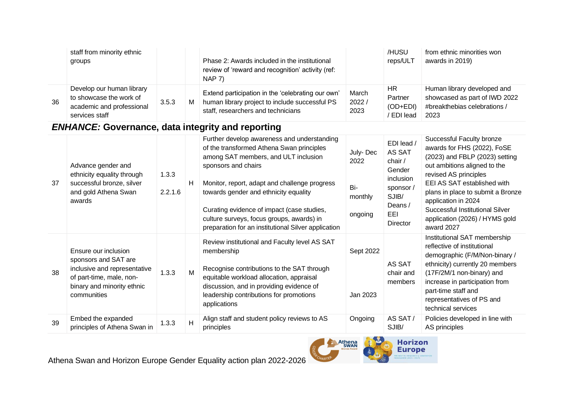|    | staff from minority ethnic<br>groups                                                                |       |   | Phase 2: Awards included in the institutional<br>review of 'reward and recognition' activity (ref:<br>$NAP$ $7)$                          |                        | /HUSU<br>reps/ULT                       | from ethnic minorities won<br>awards in 2019)                                                        |
|----|-----------------------------------------------------------------------------------------------------|-------|---|-------------------------------------------------------------------------------------------------------------------------------------------|------------------------|-----------------------------------------|------------------------------------------------------------------------------------------------------|
| 36 | Develop our human library<br>to showcase the work of<br>academic and professional<br>services staff | 3.5.3 | M | Extend participation in the 'celebrating our own'<br>human library project to include successful PS<br>staff, researchers and technicians | March<br>2022/<br>2023 | HR<br>Partner<br>(OD+EDI)<br>/ EDI lead | Human library developed and<br>showcased as part of IWD 2022<br>#breakthebias celebrations /<br>2023 |

# *ENHANCE:* **Governance, data integrity and reporting**

| 37 | Advance gender and<br>ethnicity equality through<br>successful bronze, silver<br>and gold Athena Swan<br>awards                                       | 1.3.3<br>2.2.1.6 | H | Further develop awareness and understanding<br>of the transformed Athena Swan principles<br>among SAT members, and ULT inclusion<br>sponsors and chairs<br>Monitor, report, adapt and challenge progress<br>towards gender and ethnicity equality<br>Curating evidence of impact (case studies,<br>culture surveys, focus groups, awards) in<br>preparation for an institutional Silver application | July-Dec<br>2022<br>Bi-<br>monthly<br>ongoing | EDI lead /<br>AS SAT<br>chair $/$<br>Gender<br>inclusion<br>sponsor/<br>SJIB/<br>Deans /<br>EEL<br>Director | Successful Faculty bronze<br>awards for FHS (2022), FoSE<br>(2023) and FBLP (2023) setting<br>out ambitions aligned to the<br>revised AS principles<br>EEI AS SAT established with<br>plans in place to submit a Bronze<br>application in 2024<br>Successful Institutional Silver<br>application (2026) / HYMS gold<br>award 2027 |
|----|-------------------------------------------------------------------------------------------------------------------------------------------------------|------------------|---|-----------------------------------------------------------------------------------------------------------------------------------------------------------------------------------------------------------------------------------------------------------------------------------------------------------------------------------------------------------------------------------------------------|-----------------------------------------------|-------------------------------------------------------------------------------------------------------------|-----------------------------------------------------------------------------------------------------------------------------------------------------------------------------------------------------------------------------------------------------------------------------------------------------------------------------------|
| 38 | Ensure our inclusion<br>sponsors and SAT are<br>inclusive and representative<br>of part-time, male, non-<br>binary and minority ethnic<br>communities | 1.3.3            | M | Review institutional and Faculty level AS SAT<br>membership<br>Recognise contributions to the SAT through<br>equitable workload allocation, appraisal<br>discussion, and in providing evidence of<br>leadership contributions for promotions<br>applications                                                                                                                                        | Sept 2022<br>Jan 2023                         | AS SAT<br>chair and<br>members                                                                              | Institutional SAT membership<br>reflective of institutional<br>demographic (F/M/Non-binary /<br>ethnicity) currently 20 members<br>(17F/2M/1 non-binary) and<br>increase in participation from<br>part-time staff and<br>representatives of PS and<br>technical services                                                          |
| 39 | Embed the expanded<br>principles of Athena Swan in                                                                                                    | 1.3.3            | H | Align staff and student policy reviews to AS<br>principles                                                                                                                                                                                                                                                                                                                                          | Ongoing                                       | AS SAT/<br>SJIB/                                                                                            | Policies developed in line with<br>AS principles                                                                                                                                                                                                                                                                                  |



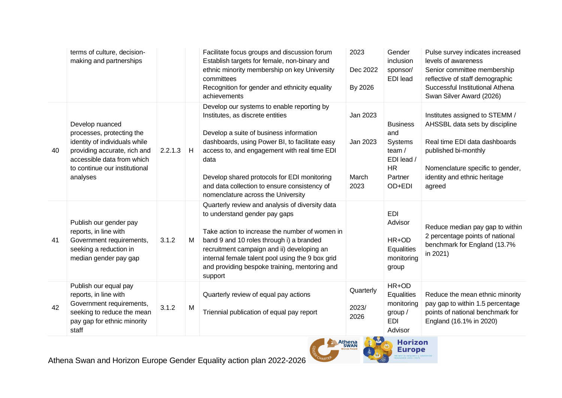|    | terms of culture, decision-<br>making and partnerships                                                                                                                                   |         |   | Facilitate focus groups and discussion forum<br>Establish targets for female, non-binary and<br>ethnic minority membership on key University<br>committees<br>Recognition for gender and ethnicity equality<br>achievements                                                                                                                                              | 2023<br>Dec 2022<br>By 2026           | Gender<br>inclusion<br>sponsor/<br><b>EDI</b> lead                                          | Pulse survey indicates increased<br>levels of awareness<br>Senior committee membership<br>reflective of staff demographic<br>Successful Institutional Athena<br>Swan Silver Award (2026)                |
|----|------------------------------------------------------------------------------------------------------------------------------------------------------------------------------------------|---------|---|--------------------------------------------------------------------------------------------------------------------------------------------------------------------------------------------------------------------------------------------------------------------------------------------------------------------------------------------------------------------------|---------------------------------------|---------------------------------------------------------------------------------------------|---------------------------------------------------------------------------------------------------------------------------------------------------------------------------------------------------------|
| 40 | Develop nuanced<br>processes, protecting the<br>identity of individuals while<br>providing accurate, rich and<br>accessible data from which<br>to continue our institutional<br>analyses | 2.2.1.3 | H | Develop our systems to enable reporting by<br>Institutes, as discrete entities<br>Develop a suite of business information<br>dashboards, using Power BI, to facilitate easy<br>access to, and engagement with real time EDI<br>data<br>Develop shared protocols for EDI monitoring<br>and data collection to ensure consistency of<br>nomenclature across the University | Jan 2023<br>Jan 2023<br>March<br>2023 | <b>Business</b><br>and<br>Systems<br>team /<br>EDI lead /<br><b>HR</b><br>Partner<br>OD+EDI | Institutes assigned to STEMM /<br>AHSSBL data sets by discipline<br>Real time EDI data dashboards<br>published bi-monthly<br>Nomenclature specific to gender,<br>identity and ethnic heritage<br>agreed |
| 41 | Publish our gender pay<br>reports, in line with<br>Government requirements,<br>seeking a reduction in<br>median gender pay gap                                                           | 3.1.2   | M | Quarterly review and analysis of diversity data<br>to understand gender pay gaps<br>Take action to increase the number of women in<br>band 9 and 10 roles through i) a branded<br>recruitment campaign and ii) developing an<br>internal female talent pool using the 9 box grid<br>and providing bespoke training, mentoring and<br>support                             |                                       | <b>EDI</b><br>Advisor<br>HR+OD<br>Equalities<br>monitoring<br>group                         | Reduce median pay gap to within<br>2 percentage points of national<br>benchmark for England (13.7%<br>in 2021)                                                                                          |
| 42 | Publish our equal pay<br>reports, in line with<br>Government requirements,<br>seeking to reduce the mean<br>pay gap for ethnic minority<br>staff                                         | 3.1.2   | M | Quarterly review of equal pay actions<br>Triennial publication of equal pay report                                                                                                                                                                                                                                                                                       | Quarterly<br>2023/<br>2026            | HR+OD<br>Equalities<br>monitoring<br>group $/$<br><b>EDI</b><br>Advisor                     | Reduce the mean ethnic minority<br>pay gap to within 1.5 percentage<br>points of national benchmark for<br>England (16.1% in 2020)                                                                      |



Athena Swan and Horizon Europe Gender Equality action plan 2022-2026